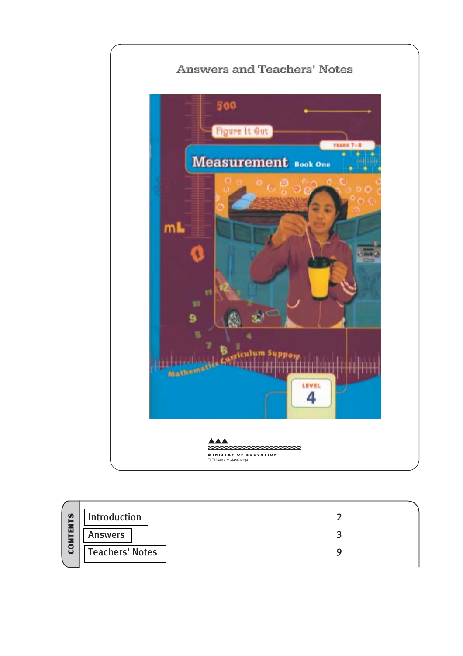

|                 | Introduction           |  |
|-----------------|------------------------|--|
| <b>CONTENTS</b> | <b>Answers</b>         |  |
|                 | <b>Teachers' Notes</b> |  |
|                 |                        |  |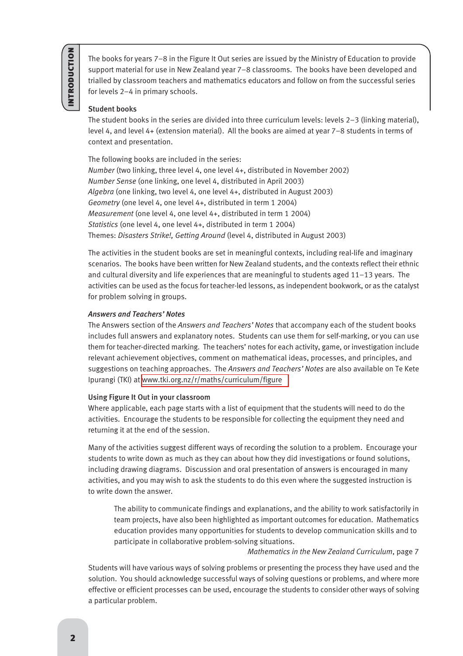<span id="page-1-0"></span>The books for years 7–8 in the Figure It Out series are issued by the Ministry of Education to provide support material for use in New Zealand year 7–8 classrooms. The books have been developed and trialled by classroom teachers and mathematics educators and follow on from the successful series for levels 2–4 in primary schools.

## Student books

The student books in the series are divided into three curriculum levels: levels 2–3 (linking material), level 4, and level 4+ (extension material). All the books are aimed at year 7–8 students in terms of context and presentation.

The following books are included in the series: *Number* (two linking, three level 4, one level 4+, distributed in November 2002) *Number Sense* (one linking, one level 4, distributed in April 2003) *Algebra* (one linking, two level 4, one level 4+, distributed in August 2003) *Geometry* (one level 4, one level 4+, distributed in term 1 2004) *Measurement* (one level 4, one level 4+, distributed in term 1 2004) *Statistics* (one level 4, one level 4+, distributed in term 1 2004) Themes: *Disasters Strike!, Getting Around* (level 4, distributed in August 2003)

The activities in the student books are set in meaningful contexts, including real-life and imaginary scenarios. The books have been written for New Zealand students, and the contexts reflect their ethnic and cultural diversity and life experiences that are meaningful to students aged 11–13 years. The activities can be used as the focus for teacher-led lessons, as independent bookwork, or as the catalyst for problem solving in groups.

## *Answers and Teachers' Notes*

The Answers section of the *Answers and Teachers' Notes* that accompany each of the student books includes full answers and explanatory notes. Students can use them for self-marking, or you can use them for teacher-directed marking. The teachers' notes for each activity, game, or investigation include relevant achievement objectives, comment on mathematical ideas, processes, and principles, and suggestions on teaching approaches. The *Answers and Teachers' Notes* are also available on Te Kete Ipurangi (TKI) at [www.tki.org.nz/r/maths/curriculum/figure](http://www.tki.org.nz/r/maths/curriculum/figure)

## Using Figure It Out in your classroom

Where applicable, each page starts with a list of equipment that the students will need to do the activities. Encourage the students to be responsible for collecting the equipment they need and returning it at the end of the session.

Many of the activities suggest different ways of recording the solution to a problem. Encourage your students to write down as much as they can about how they did investigations or found solutions, including drawing diagrams. Discussion and oral presentation of answers is encouraged in many activities, and you may wish to ask the students to do this even where the suggested instruction is to write down the answer.

The ability to communicate findings and explanations, and the ability to work satisfactorily in team projects, have also been highlighted as important outcomes for education. Mathematics education provides many opportunities for students to develop communication skills and to participate in collaborative problem-solving situations.

## *Mathematics in the New Zealand Curriculum*, page 7

Students will have various ways of solving problems or presenting the process they have used and the solution. You should acknowledge successful ways of solving questions or problems, and where more effective or efficient processes can be used, encourage the students to consider other ways of solving a particular problem.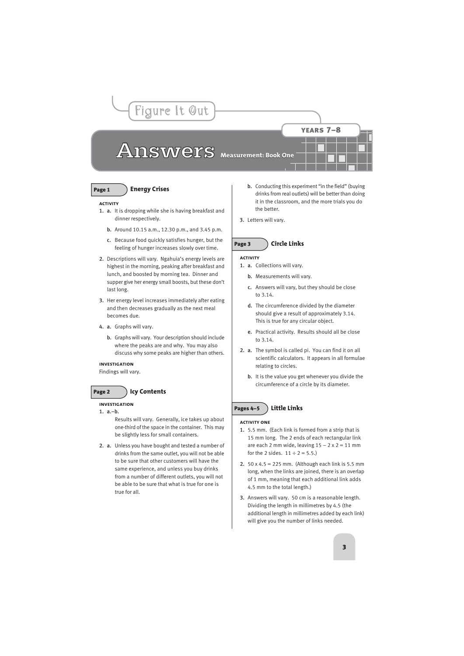# Answers Measurement: Book One

<span id="page-2-0"></span>Figure It Out

## Page 1 **Energy Crises**

#### **activity**

- 1. a. It is dropping while she is having breakfast and dinner respectively.
	- b. Around 10.15 a.m., 12.30 p.m., and 3.45 p.m.
	- c. Because food quickly satisfies hunger, but the feeling of hunger increases slowly over time.
- 2. Descriptions will vary. Ngahuia's energy levels are highest in the morning, peaking after breakfast and lunch, and boosted by morning tea. Dinner and supper give her energy small boosts, but these don't last long.
- 3. Her energy level increases immediately after eating and then decreases gradually as the next meal becomes due.
- 4. a. Graphs will vary.
	- b. Graphs will vary. Your description should include where the peaks are and why. You may also discuss why some peaks are higher than others.

## **investigation**

Findings will vary.

## Page 2 **Icy Contents**

## **investigation**

1. a.–b.

Results will vary. Generally, ice takes up about one-third of the space in the container. This may be slightly less for small containers.

2. a. Unless you have bought and tested a number of drinks from the same outlet, you will not be able to be sure that other customers will have the same experience, and unless you buy drinks from a number of different outlets, you will not be able to be sure that what is true for one is true for all.

b. Conducting this experiment "in the field" (buying drinks from real outlets) will be better than doing it in the classroom, and the more trials you do the better.

years 7–8

3. Letters will vary.

## Page 3 **Circle Links**

#### **activity**

- 1. a. Collections will vary.
	- b. Measurements will vary.
	- c. Answers will vary, but they should be close to 3.14.
	- d. The circumference divided by the diameter should give a result of approximately 3.14. This is true for any circular object.
	- e. Practical activity. Results should all be close to 3.14.
- 2. a. The symbol is called pi. You can find it on all scientific calculators. It appears in all formulae relating to circles.
	- b. It is the value you get whenever you divide the circumference of a circle by its diameter.

## Pages 4–5 **Little Links**

## **activity one**

- 1. 5.5 mm. (Each link is formed from a strip that is 15 mm long. The 2 ends of each rectangular link are each 2 mm wide, leaving  $15 - 2 \times 2 = 11$  mm for the 2 sides.  $11 \div 2 = 5.5$ .)
- 2. 50 x 4.5 = 225 mm. (Although each link is 5.5 mm long, when the links are joined, there is an overlap of 1 mm, meaning that each additional link adds 4.5 mm to the total length.)
- 3. Answers will vary. 50 cm is a reasonable length. Dividing the length in millimetres by 4.5 (the additional length in millimetres added by each link) will give you the number of links needed.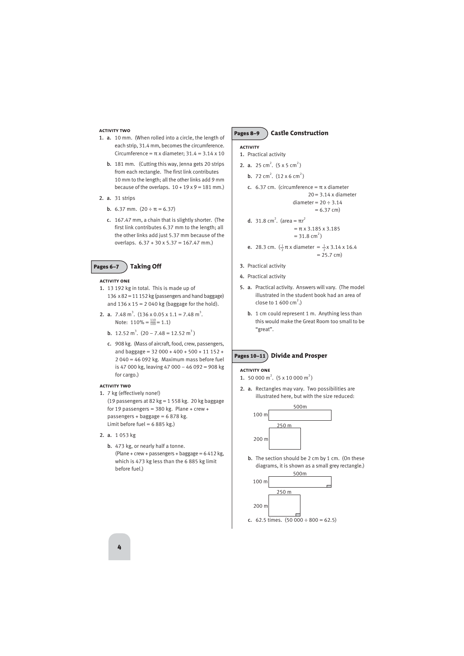#### **activity two**

- 1. a. 10 mm. (When rolled into a circle, the length of each strip, 31.4 mm, becomes the circumference. Circumference =  $\pi$  x diameter; 31.4 = 3.14 x 10
	- b. 181 mm. (Cutting this way, Jenna gets 20 strips from each rectangle. The first link contributes 10 mm to the length; all the other links add 9 mm because of the overlaps.  $10 + 19 \times 9 = 181$  mm.)
- 2. a. 31 strips
	- b. 6.37 mm.  $(20 \div \pi = 6.37)$
	- c. 167.47 mm, a chain that is slightly shorter. (The first link contributes 6.37 mm to the length; all the other links add just 5.37 mm because of the overlaps. 6.37 + 30 x 5.37 = 167.47 mm.)

## Pages 6–7 **Taking Off**

#### **activity one**

- 1. 13 192 kg in total. This is made up of 136 x 82 = 11 152 kg (passengers and hand baggage) and  $136 \times 15 = 2040$  kg (baggage for the hold).
- **2. a.** 7.48 m<sup>3</sup>.  $(136 \times 0.05 \times 1.1 = 7.48 \text{ m}^3.$ Note:  $110\% = \frac{110}{100} = 1.1$ 
	- **b.** 12.52 m<sup>3</sup>.  $(20 7.48 = 12.52 \text{ m}^3)$
	- c. 908 kg. (Mass of aircraft, food, crew, passengers, and baggage =  $32000 + 400 + 500 + 11152 +$ 2 040 = 46 092 kg. Maximum mass before fuel is 47 000 kg, leaving 47 000 – 46 092 = 908 kg for cargo.)

#### **activity two**

- 1. 7 kg (effectively none!) (19 passengers at 82 kg = 1 558 kg. 20 kg baggage for 19 passengers =  $380$  kg. Plane + crew + passengers + baggage = 6 878 kg.
	- Limit before fuel =  $6885$  kg.)
- 2. a. 1 053 kg
	- b. 473 kg, or nearly half a tonne. (Plane + crew + passengers + baggage =  $6412$  kg, which is 473 kg less than the 6 885 kg limit before fuel.)

## Pages 8–9 **Castle Construction**

#### **activity**

- 1. Practical activity
- **2. a.** 25 cm<sup>2</sup>.  $(5 \times 5 \text{ cm}^2)$ 
	- **b.** 72 cm<sup>2</sup>.  $(12 \times 6 \text{ cm}^2)$
	- c. 6.37 cm. (circumference =  $π$  x diameter  $20 = 3.14$  x diameter diameter =  $20 \div 3.14$  $= 6.37$  cm) **d.** 31.8 cm<sup>2</sup>. (area =  $\pi r^2$ 
		- $=$  π x 3.185 x 3.185  $= 31.8$  cm<sup>2</sup>)
	- **e.** 28.3 cm.  $(\frac{1}{2}\pi x)$  diameter =  $\frac{1}{2}x$  3.14 x 16.4  $= 25.7$  cm) 1 2
- 3. Practical activity
- 4. Practical activity
- 5. a. Practical activity. Answers will vary. (The model illustrated in the student book had an area of close to 1 600 cm<sup>2</sup>.)
	- b. 1 cm could represent 1 m. Anything less than this would make the Great Room too small to be "great".

## Pages 10–11 **Divide and Prosper**

#### **activity one**

- 1. 50 000 m<sup>2</sup>.  $(5 \times 10 000 \text{ m}^2)$
- 2. a. Rectangles may vary. Two possibilities are illustrated here, but with the size reduced:



b. The section should be 2 cm by 1 cm. (On these diagrams, it is shown as a small grey rectangle.)

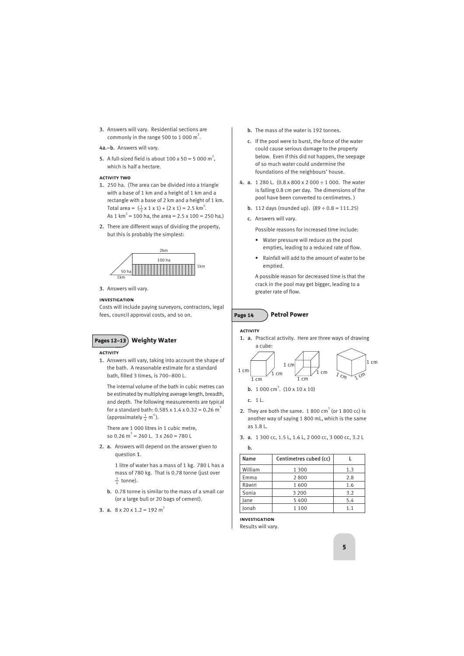- 3. Answers will vary. Residential sections are commonly in the range 500 to 1 000  $m^2$ .
- 4a.–b. Answers will vary.
- **5.** A full-sized field is about 100 x 50 = 5 000 m<sup>2</sup>, which is half a hectare.

## **activity two**

- 1. 250 ha. (The area can be divided into a triangle with a base of 1 km and a height of 1 km and a rectangle with a base of 2 km and a height of 1 km. Total area =  $(\frac{1}{2} \times 1 \times 1) + (2 \times 1) = 2.5$  km<sup>2</sup>. As 1 km<sup>2</sup> = 100 ha, the area = 2.5 x 100 = 250 ha.)
- 2. There are different ways of dividing the property, but this is probably the simplest:



3. Answers will vary.

## **investigation**

Costs will include paying surveyors, contractors, legal fees, council approval costs, and so on.



## **activity**

1. Answers will vary, taking into account the shape of the bath. A reasonable estimate for a standard bath, filled 3 times, is 700–800 L.

The internal volume of the bath in cubic metres can be estimated by multiplying average length, breadth, and depth. The following measurements are typical for a standard bath: 0.585 x 1.4 x 0.32 = 0.26 m<sup>3</sup> (approximately  $\frac{1}{4}$  m<sup>3</sup>). 4

There are 1 000 litres in 1 cubic metre, so 0.26  $m^3 = 260$  L. 3 x 260 = 780 L

2. a. Answers will depend on the answer given to question 1.

> 1 litre of water has a mass of 1 kg. 780 L has a mass of 780 kg. That is 0.78 tonne (just over  $\frac{3}{4}$  tonne).

b. 0.78 tonne is similar to the mass of a small car (or a large bull or 20 bags of cement).

```
3. a. 8 \times 20 \times 1.2 = 192 \text{ m}^3
```
- b. The mass of the water is 192 tonnes.
- c. If the pool were to burst, the force of the water could cause serious damage to the property below. Even if this did not happen, the seepage of so much water could undermine the foundations of the neighbours' house.
- 4. a. 1 280 L. (0.8 x 800 x 2 000 ÷ 1 000. The water is falling 0.8 cm per day. The dimensions of the pool have been converted to centimetres. )
	- **b.** 112 days (rounded up).  $(89 \div 0.8 = 111.25)$
	- c. Answers will vary.

Possible reasons for increased time include:

- Water pressure will reduce as the pool empties, leading to a reduced rate of flow.
- Rainfall will add to the amount of water to be emptied.

A possible reason for decreased time is that the crack in the pool may get bigger, leading to a greater rate of flow.

## Page 14 **Petrol Power**

## **activity**

1. a. Practical activity. Here are three ways of drawing a cube:



**b.** 
$$
1000 \text{ cm}^3
$$
.  $(10 \times 10 \times 10)$ 

c. 1 L.

- 2. They are both the same.  $1800 \text{ cm}^3$  (or  $1800 \text{ cc}$ ) is another way of saying 1 800 mL, which is the same as 1.8 L.
- 3. a. 1 300 cc, 1.5 L, 1.6 L, 2 000 cc, 3 000 cc, 3.2 L

b.

| Name    | Centimetres cubed (cc) |     |
|---------|------------------------|-----|
| William | 1 3 0 0                | 1.3 |
| Emma    | 2800                   | 2.8 |
| Rāwiri  | 1600                   | 1.6 |
| Sonia   | 3 2 0 0                | 3.2 |
| Jane    | 5400                   | 5.4 |
| Jonah   | 1 1 0 0                | 1.1 |

**investigation** Results will vary.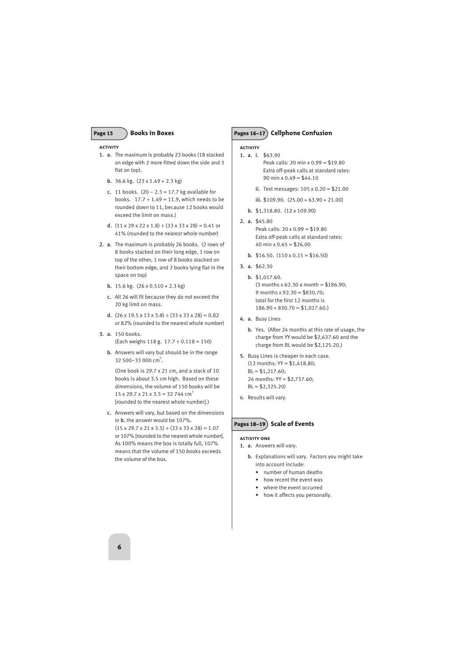#### **activity**

- 1. a. The maximum is probably 23 books (18 stacked on edge with 2 more fitted down the side and 3 flat on top).
	- b. 36.6 kg. (23 x 1.49 + 2.3 kg)
	- **c.** 11 books.  $(20 2.3 = 17.7 \text{ kg available for}$ books.  $17.7 \div 1.49 = 11.9$ , which needs to be rounded down to 11, because 12 books would exceed the limit on mass.)
	- d.  $(11 \times 29 \times 22 \times 1.8) \div (33 \times 33 \times 28) = 0.41$  or 41% (rounded to the nearest whole number)
- 2. a. The maximum is probably 26 books. (2 rows of 8 books stacked on their long edge, 1 row on top of the other, 1 row of 8 books stacked on their bottom edge, and 2 books lying flat in the space on top)
	- b. 15.6 kg. (26 x 0.510 + 2.3 kg)
	- c. All 26 will fit because they do not exceed the 20 kg limit on mass.
	- d.  $(26 \times 19.5 \times 13 \times 3.8) \div (33 \times 33 \times 28) = 0.82$ or 82% (rounded to the nearest whole number)
- 3. a. 150 books. (Each weighs 118 g. 17.7 ÷ 0.118 = 150)
	- b. Answers will vary but should be in the range 32 500-33 000 cm<sup>3</sup>.

(One book is 29.7 x 21 cm, and a stack of 10 books is about 3.5 cm high. Based on these dimensions, the volume of 150 books will be  $15 \times 29.7 \times 21 \times 3.5 = 32744 \text{ cm}^3$ [rounded to the nearest whole number].)

c. Answers will vary, but based on the dimensions in b, the answer would be 107%.  $(15 \times 29.7 \times 21 \times 3.5) \div (33 \times 33 \times 28) = 1.07$ or 107% [rounded to the nearest whole number]. As 100% means the box is totally full, 107% means that the volume of 150 books exceeds the volume of the box.

## Page 15 **Pages 16–17** Cellphone Confusion

## **activity**

- 1. a. i. \$63.90 Peak calls: 20 min x 0.99 = \$19.80 Extra off-peak calls at standard rates: 90 min x  $0.49 = $44.10$ 
	- ii. Text messages: 105 x 0.20 = \$21.00
	- iii. \$109.90. (25.00 + 63.90 + 21.00)
	- b. \$1,318.80. (12 x 109.90)
- 2. a. \$45.80 Peak calls: 20 x 0.99 = \$19.80 Extra off-peak calls at standard rates: 40 min x  $0.65 = $26.00$ 
	- **b.** \$16.50.  $(110 \times 0.15 = $16.50)$
- 3. a. \$62.30
	- b. \$1,017.60.  $(3$  months x 62.30 a month = \$186.90; 9 months x 92.30 = \$830.70; total for the first 12 months is  $186.90 + 830.70 = $1,017.60.$
- 4. a. Busy Lines
	- b. Yes. (After 24 months at this rate of usage, the charge from YY would be \$2,637.60 and the charge from BL would be \$2,125.20.)
- 5. Busy Lines is cheaper in each case.  $(12$  months:  $YY = $1,418.80$ :  $BL = $1,217.60$ ; 24 months: YY = \$2,737.60;  $BL = $2,325,20$
- 6. Results will vary.

Pages 18–19 **Scale of Events**

## **activity one**

- 1. a. Answers will vary.
	- b. Explanations will vary. Factors you might take into account include:
		- number of human deaths
		- how recent the event was
		- where the event occurred
		- how it affects you personally.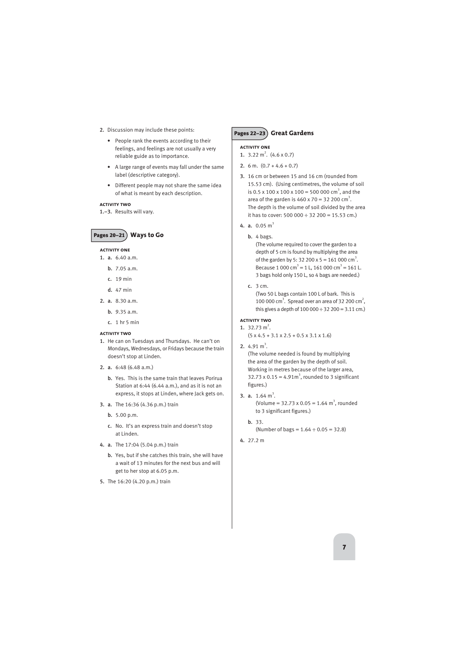- 2. Discussion may include these points:
	- People rank the events according to their feelings, and feelings are not usually a very reliable guide as to importance.
	- A large range of events may fall under the same label (descriptive category).
	- Different people may not share the same idea of what is meant by each description.

## **activity two**

1.–3. Results will vary.

## Pages 20–21 **Ways to Go**

## **activity one**

- 1. a. 6.40 a.m.
	- b. 7.05 a.m.
	- c. 19 min
	- d. 47 min
- 2. a. 8.30 a.m.
	- b. 9.35 a.m.
	- c. 1 hr 5 min

## **activity two**

- 1. He can on Tuesdays and Thursdays. He can't on Mondays, Wednesdays, or Fridays because the train doesn't stop at Linden.
- 2. a. 6:48 (6.48 a.m.)
	- b. Yes. This is the same train that leaves Porirua Station at 6:44 (6.44 a.m.), and as it is not an express, it stops at Linden, where Jack gets on.
- 3. a. The 16:36 (4.36 p.m.) train
	- b. 5.00 p.m.
	- c. No. It's an express train and doesn't stop at Linden.
- 4. a. The 17:04 (5.04 p.m.) train
	- b. Yes, but if she catches this train, she will have a wait of 13 minutes for the next bus and will get to her stop at 6.05 p.m.
- 5. The 16:20 (4.20 p.m.) train

## Pages 22–23 **Great Gardens**

## **activity one**

- 1.  $3.22 \text{ m}^2$ .  $(4.6 \times 0.7)$
- 2. 6 m.  $(0.7 + 4.6 + 0.7)$
- 3. 16 cm or between 15 and 16 cm (rounded from 15.53 cm). (Using centimetres, the volume of soil is 0.5 x 100 x 100 x 100 = 500 000 cm<sup>3</sup>, and the area of the garden is  $460 \times 70 = 32200 \text{ cm}^3$ . The depth is the volume of soil divided by the area it has to cover: 500 000  $\div$  32 200 = 15.53 cm.)
- 4. a.  $0.05 \text{ m}^3$ 
	- b. 4 bags.

(The volume required to cover the garden to a depth of 5 cm is found by multiplying the area of the garden by 5: 32 200 x 5 = 161 000 cm<sup>3</sup>. Because 1 000 cm<sup>3</sup> = 1 L, 161 000 cm<sup>3</sup> = 161 L. 3 bags hold only 150 L, so 4 bags are needed.)

c. 3 cm.

(Two 50 L bags contain 100 L of bark. This is 100 000 cm<sup>3</sup>. Spread over an area of 32 200 cm<sup>2</sup>, this gives a depth of  $100\,000 \div 32\,200 = 3.11\,\text{cm}$ .)

## **activity two**

- 1.  $32.73 \text{ m}^2$ .  $(5 \times 4.5 + 3.1 \times 2.5 + 0.5 \times 3.1 \times 1.6)$
- 2.  $4.91 \text{ m}^3$ .

(The volume needed is found by multiplying the area of the garden by the depth of soil. Working in metres because of the larger area, 32.73 x 0.15 = 4.91 $m^3$ , rounded to 3 significant figures.)

- 3. a.  $1.64 \text{ m}^3$ . (Volume =  $32.73 \times 0.05 = 1.64 \text{ m}^3$ , rounded to 3 significant figures.)
	- b. 33. (Number of bags =  $1.64 \div 0.05 = 32.8$ )
- 4. 27.2 m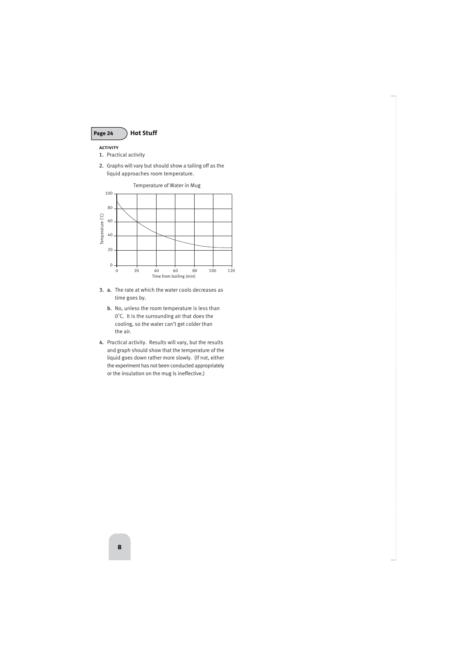

## **activity**

- 1. Practical activity
- 2. Graphs will vary but should show a tailing off as the liquid approaches room temperature.



- 3. a. The rate at which the water cools decreases as time goes by.
	- b. No, unless the room temperature is less than 0˚C. It is the surrounding air that does the cooling, so the water can't get colder than the air.
- 4. Practical activity. Results will vary, but the results and graph should show that the temperature of the liquid goes down rather more slowly. (If not, either the experiment has not been conducted appropriately or the insulation on the mug is ineffective.)

Temperature of Water in Mug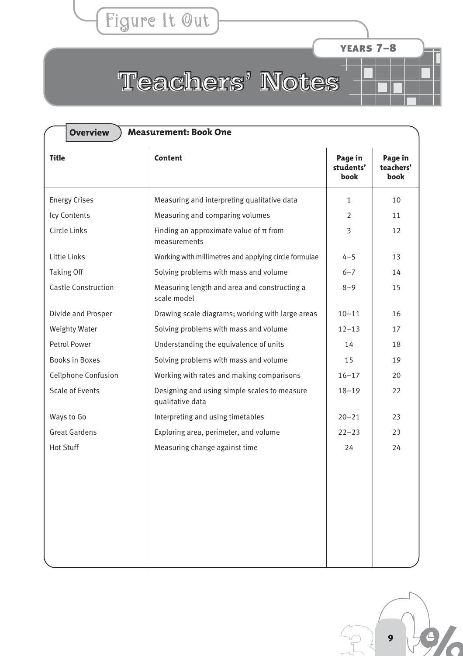## Figure It Out

years 7–8

# <span id="page-8-0"></span>Teachers' Notes

| <b>Overview</b><br><b>Measurement: Book One</b> |                                                                  |                              |                              |  |  |
|-------------------------------------------------|------------------------------------------------------------------|------------------------------|------------------------------|--|--|
| <b>Title</b>                                    | <b>Content</b>                                                   | Page in<br>students'<br>book | Page in<br>teachers'<br>book |  |  |
| <b>Energy Crises</b>                            | Measuring and interpreting qualitative data                      | $\mathbf{1}$                 | 10                           |  |  |
| Icy Contents                                    | Measuring and comparing volumes                                  | 2                            | 11                           |  |  |
| Circle Links                                    | Finding an approximate value of $\pi$ from<br>measurements       | 3                            | 12                           |  |  |
| Little Links                                    | Working with millimetres and applying circle formulae            | $4 - 5$                      | 13                           |  |  |
| <b>Taking Off</b>                               | Solving problems with mass and volume                            | $6 - 7$                      | 14                           |  |  |
| <b>Castle Construction</b>                      | Measuring length and area and constructing a<br>scale model      | $8 - 9$                      | 15                           |  |  |
| Divide and Prosper                              | Drawing scale diagrams; working with large areas                 | $10 - 11$                    | 16                           |  |  |
| <b>Weighty Water</b>                            | Solving problems with mass and volume                            | $12 - 13$                    | 17                           |  |  |
| <b>Petrol Power</b>                             | Understanding the equivalence of units                           | 14                           | 18                           |  |  |
| <b>Books in Boxes</b>                           | Solving problems with mass and volume                            | 15                           | 19                           |  |  |
| Cellphone Confusion                             | Working with rates and making comparisons                        | $16 - 17$                    | 20                           |  |  |
| Scale of Events                                 | Designing and using simple scales to measure<br>qualitative data | $18 - 19$                    | 22                           |  |  |
| Ways to Go                                      | Interpreting and using timetables                                | $20 - 21$                    | 23                           |  |  |
| <b>Great Gardens</b>                            | Exploring area, perimeter, and volume                            | $22 - 23$                    | 23                           |  |  |
| <b>Hot Stuff</b>                                | Measuring change against time                                    | 24                           | 24                           |  |  |
|                                                 |                                                                  |                              |                              |  |  |

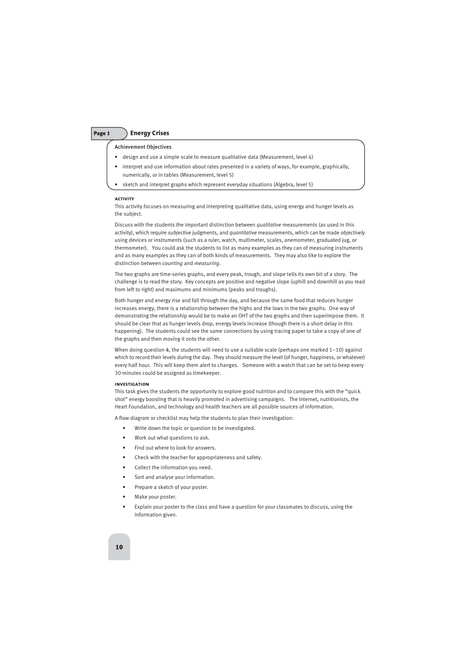## Page 1 **Energy Crises**

## Achievement Objectives

- design and use a simple scale to measure qualitative data (Measurement, level 4)
- interpret and use information about rates presented in a variety of ways, for example, graphically, numerically, or in tables (Measurement, level 5)
- sketch and interpret graphs which represent everyday situations (Algebra, level 5)

#### **activity**

This activity focuses on measuring and interpreting qualitative data, using energy and hunger levels as the subject.

Discuss with the students the important distinction between *qualitative* measurements (as used in this activity), which require *subjective* judgments, and *quantitative* measurements, which can be made *objectively* using devices or instruments (such as a ruler, watch, multimeter, scales, anemometer, graduated jug, or thermometer). You could ask the students to list as many examples as they can of measuring instruments and as many examples as they can of both kinds of measurements. They may also like to explore the distinction between *counting* and *measuring*.

The two graphs are time-series graphs, and every peak, trough, and slope tells its own bit of a story. The challenge is to read the story. Key concepts are positive and negative slope (uphill and downhill as you read from left to right) and maximums and minimums (peaks and troughs).

Both hunger and energy rise and fall through the day, and because the same food that reduces hunger increases energy, there is a relationship between the highs and the lows in the two graphs. One way of demonstrating the relationship would be to make an OHT of the two graphs and then superimpose them. It should be clear that as hunger levels drop, energy levels increase (though there is a short delay in this happening). The students could see the same connections by using tracing paper to take a copy of one of the graphs and then moving it onto the other.

When doing question 4, the students will need to use a suitable scale (perhaps one marked  $1-10$ ) against which to record their levels during the day. They should measure the level (of hunger, happiness, or whatever) every half hour. This will keep them alert to changes. Someone with a watch that can be set to beep every 30 minutes could be assigned as timekeeper.

#### **investigation**

This task gives the students the opportunity to explore good nutrition and to compare this with the "quick shot" energy boosting that is heavily promoted in advertising campaigns. The Internet, nutritionists, the Heart Foundation, and technology and health teachers are all possible sources of information.

A flow diagram or checklist may help the students to plan their investigation:

- Write down the topic or question to be investigated.
- Work out what questions to ask.
- Find out where to look for answers.
- Check with the teacher for appropriateness and safety.
- Collect the information you need.
- Sort and analyse your information.
- Prepare a sketch of your poster.
- Make your poster.
- Explain your poster to the class and have a question for your classmates to discuss, using the information given.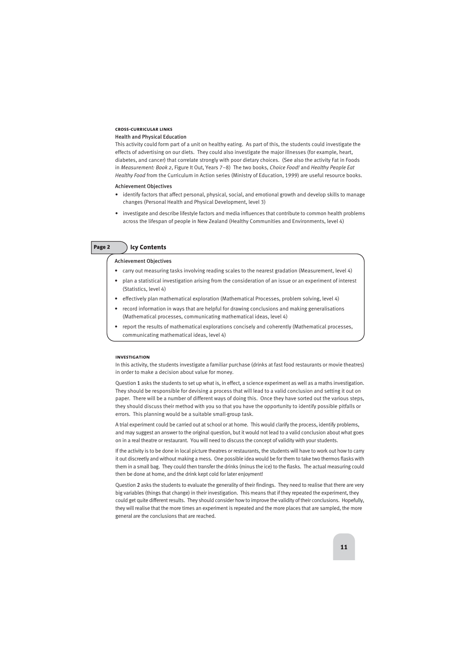#### **cross-curricular links**

## Health and Physical Education

This activity could form part of a unit on healthy eating. As part of this, the students could investigate the effects of advertising on our diets. They could also investigate the major illnesses (for example, heart, diabetes, and cancer) that correlate strongly with poor dietary choices. (See also the activity Fat in Foods in *Measurement: Book 2*, Figure It Out, Years 7–8) The two books, *Choice Food!* and *Healthy People Eat Healthy Food* from the Curriculum in Action series (Ministry of Education, 1999) are useful resource books.

## Achievement Objectives

- identify factors that affect personal, physical, social, and emotional growth and develop skills to manage changes (Personal Health and Physical Development, level 3)
- investigate and describe lifestyle factors and media influences that contribute to common health problems across the lifespan of people in New Zealand (Healthy Communities and Environments, level 4)

## Page 2 **Icy Contents**

## Achievement Objectives

- carry out measuring tasks involving reading scales to the nearest gradation (Measurement, level 4)
- plan a statistical investigation arising from the consideration of an issue or an experiment of interest (Statistics, level 4)
- effectively plan mathematical exploration (Mathematical Processes, problem solving, level 4)
- record information in ways that are helpful for drawing conclusions and making generalisations (Mathematical processes, communicating mathematical ideas, level 4)
- report the results of mathematical explorations concisely and coherently (Mathematical processes, communicating mathematical ideas, level 4)

## **investigation**

In this activity, the students investigate a familiar purchase (drinks at fast food restaurants or movie theatres) in order to make a decision about value for money.

Question 1 asks the students to set up what is, in effect, a science experiment as well as a maths investigation. They should be responsible for devising a process that will lead to a valid conclusion and setting it out on paper. There will be a number of different ways of doing this. Once they have sorted out the various steps, they should discuss their method with you so that you have the opportunity to identify possible pitfalls or errors. This planning would be a suitable small-group task.

A trial experiment could be carried out at school or at home. This would clarify the process, identify problems, and may suggest an answer to the original question, but it would not lead to a valid conclusion about what goes on in a real theatre or restaurant. You will need to discuss the concept of validity with your students.

If the activity is to be done in local picture theatres or restaurants, the students will have to work out how to carry it out discreetly and without making a mess. One possible idea would be for them to take two thermos flasks with them in a small bag. They could then transfer the drinks (minus the ice) to the flasks. The actual measuring could then be done at home, and the drink kept cold for later enjoyment!

Question 2 asks the students to evaluate the generality of their findings. They need to realise that there are very big variables (things that change) in their investigation. This means that if they repeated the experiment, they could get quite different results. They should consider how to improve the validity of their conclusions. Hopefully, they will realise that the more times an experiment is repeated and the more places that are sampled, the more general are the conclusions that are reached.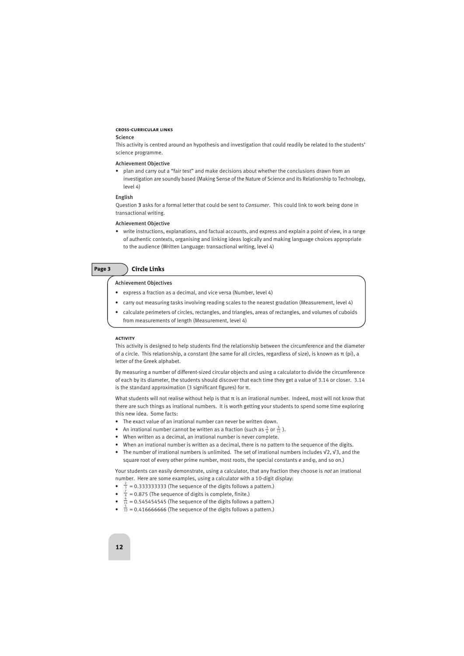## **cross-curricular links**

## Science

This activity is centred around an hypothesis and investigation that could readily be related to the students' science programme.

## Achievement Objective

• plan and carry out a "fair test" and make decisions about whether the conclusions drawn from an investigation are soundly based (Making Sense of the Nature of Science and its Relationship to Technology, level 4)

## English

Question 3 asks for a formal letter that could be sent to *Consumer*. This could link to work being done in transactional writing.

## Achievement Objective

• write instructions, explanations, and factual accounts, and express and explain a point of view, in a range of authentic contexts, organising and linking ideas logically and making language choices appropriate to the audience (Written Language: transactional writing, level 4)

## Page 3 **Circle Links**

## Achievement Objectives

- express a fraction as a decimal, and vice versa (Number, level 4)
- carry out measuring tasks involving reading scales to the nearest gradation (Measurement, level 4)
- calculate perimeters of circles, rectangles, and triangles, areas of rectangles, and volumes of cuboids from measurements of length (Measurement, level 4)

## **activity**

This activity is designed to help students find the relationship between the circumference and the diameter of a circle. This relationship, a constant (the same for all circles, regardless of size), is known as π (pi), a letter of the Greek alphabet.

By measuring a number of different-sized circular objects and using a calculator to divide the circumference of each by its diameter, the students should discover that each time they get a value of 3.14 or closer. 3.14 is the standard approximation (3 significant figures) for  $π$ .

What students will not realise without help is that  $\pi$  is an irrational number. Indeed, most will not know that there are such things as irrational numbers. It is worth getting your students to spend some time exploring this new idea. Some facts:

- The exact value of an irrational number can never be written down.
- An irrational number cannot be written as a fraction (such as  $\frac{3}{4}$  or  $\frac{5}{11}$ ). 4
- When written as a decimal, an irrational number is never complete.
- When an irrational number is written as a decimal, there is no pattern to the sequence of the digits.
- The number of irrational numbers is unlimited. The set of irrational numbers includes √2, √3, and the square root of every other prime number, most roots, the special constants  $e$  and  $\varphi$ , and so on.)

Your students can easily demonstrate, using a calculator, that any fraction they choose is *not* an irrational number. Here are some examples, using a calculator with a 10-digit display:

- $\frac{2}{3}$  = 0.3333333333 (The sequence of the digits follows a pattern.)
- $\frac{7}{8}$  = 0.875 (The sequence of digits is complete, finite.) 8
- $\frac{6}{11}$  = 0.545454545 (The sequence of the digits follows a pattern.) 11
- $\bullet$   $\frac{5}{12}$  = 0.416666666 (The sequence of the digits follows a pattern.) 12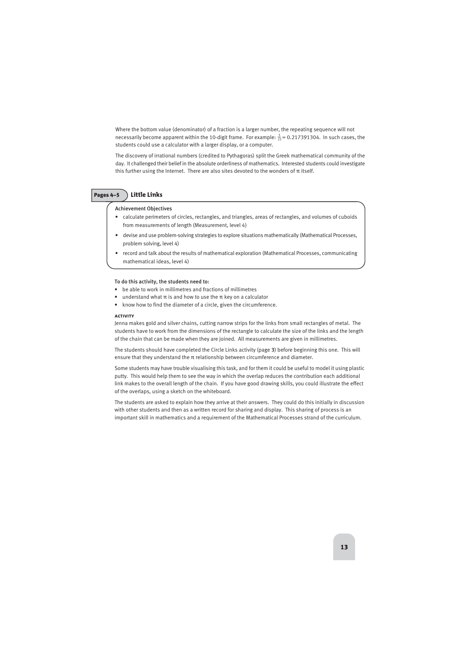Where the bottom value (denominator) of a fraction is a larger number, the repeating sequence will not necessarily become apparent within the 10-digit frame. For example:  $\frac{5}{23}$  = 0.217391304. In such cases, the students could use a calculator with a larger display, or a computer.

The discovery of irrational numbers (credited to Pythagoras) split the Greek mathematical community of the day. It challenged their belief in the absolute orderliness of mathematics. Interested students could investigate this further using the Internet. There are also sites devoted to the wonders of π itself.

## Pages 4–5 **Little Links**

## Achievement Objectives

- calculate perimeters of circles, rectangles, and triangles, areas of rectangles, and volumes of cuboids from measurements of length (Measurement, level 4)
- devise and use problem-solving strategies to explore situations mathematically (Mathematical Processes, problem solving, level 4)
- record and talk about the results of mathematical exploration (Mathematical Processes, communicating mathematical ideas, level 4)

## To do this activity, the students need to:

- be able to work in millimetres and fractions of millimetres
- understand what  $\pi$  is and how to use the  $\pi$  key on a calculator
- know how to find the diameter of a circle, given the circumference.

## **activity**

Jenna makes gold and silver chains, cutting narrow strips for the links from small rectangles of metal. The students have to work from the dimensions of the rectangle to calculate the size of the links and the length of the chain that can be made when they are joined. All measurements are given in millimetres.

The students should have completed the Circle Links activity (page 3) before beginning this one. This will ensure that they understand the  $\pi$  relationship between circumference and diameter.

Some students may have trouble visualising this task, and for them it could be useful to model it using plastic putty. This would help them to see the way in which the overlap reduces the contribution each additional link makes to the overall length of the chain. If you have good drawing skills, you could illustrate the effect of the overlaps, using a sketch on the whiteboard.

The students are asked to explain how they arrive at their answers. They could do this initially in discussion with other students and then as a written record for sharing and display. This sharing of process is an important skill in mathematics and a requirement of the Mathematical Processes strand of the curriculum.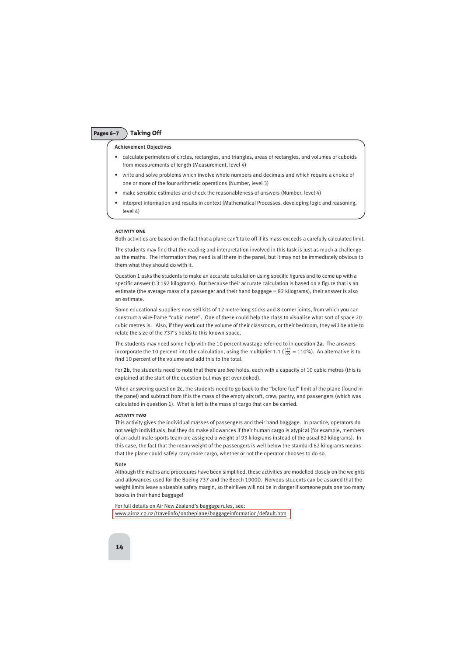## Pages 6–7 **Taking Off**

## Achievement Objectives

- calculate perimeters of circles, rectangles, and triangles, areas of rectangles, and volumes of cuboids from measurements of length (Measurement, level 4)
- write and solve problems which involve whole numbers and decimals and which require a choice of one or more of the four arithmetic operations (Number, level 3)
- make sensible estimates and check the reasonableness of answers (Number, level 4)
- interpret information and results in context (Mathematical Processes, developing logic and reasoning, level 4)

#### **activity one**

Both activities are based on the fact that a plane can't take off if its mass exceeds a carefully calculated limit.

The students may find that the reading and interpretation involved in this task is just as much a challenge as the maths. The information they need is all there in the panel, but it may not be immediately obvious to them what they should do with it.

Question 1 asks the students to make an accurate calculation using specific figures and to come up with a specific answer (13 192 kilograms). But because their accurate calculation is based on a figure that is an estimate (the average mass of a passenger and their hand baggage = 82 kilograms), their answer is also an estimate.

Some educational suppliers now sell kits of 12 metre-long sticks and 8 corner joints, from which you can construct a wire-frame "cubic metre". One of these could help the class to visualise what sort of space 20 cubic metres is. Also, if they work out the volume of their classroom, or their bedroom, they will be able to relate the size of the 737's holds to this known space.

The students may need some help with the 10 percent wastage referred to in question 2a. The answers incorporate the 10 percent into the calculation, using the multiplier 1.1 ( $\frac{110}{100}$  = 110%). An alternative is to find 10 percent of the volume and add this to the total.

For 2b, the students need to note that there are *two* holds, each with a capacity of 10 cubic metres (this is explained at the start of the question but may get overlooked).

When answering question 2c, the students need to go back to the "before fuel" limit of the plane (found in the panel) and subtract from this the mass of the empty aircraft, crew, pantry, and passengers (which was calculated in question 1). What is left is the mass of cargo that can be carried.

## **activity two**

This activity gives the individual masses of passengers and their hand baggage. In practice, operators do not weigh individuals, but they do make allowances if their human cargo is atypical (for example, members of an adult male sports team are assigned a weight of 93 kilograms instead of the usual 82 kilograms). In this case, the fact that the mean weight of the passengers is well below the standard 82 kilograms means that the plane could safely carry more cargo, whether or not the operator chooses to do so.

#### Note

Although the maths and procedures have been simplified, these activities are modelled closely on the weights and allowances used for the Boeing 737 and the Beech 1900D. Nervous students can be assured that the weight limits leave a sizeable safety margin, so their lives will not be in danger if someone puts one too many books in their hand baggage!

For full details on Air New Zealand's baggage rules, see: [www.airnz.co.nz/travelinfo/ontheplane/baggageinformation/default.htm](http://www.airnz.co.nz/travelinfo/ontheplane/baggageinformation/default.htm)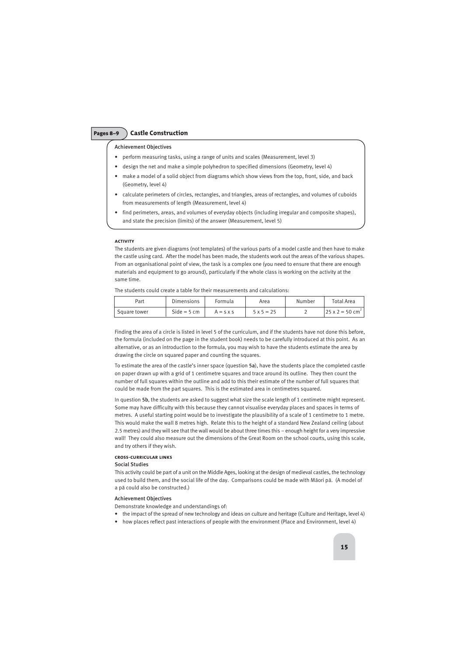## Pages 8–9 **Castle Construction**

## Achievement Objectives

- perform measuring tasks, using a range of units and scales (Measurement, level 3)
- design the net and make a simple polyhedron to specified dimensions (Geometry, level 4)
- make a model of a solid object from diagrams which show views from the top, front, side, and back (Geometry, level 4)
- calculate perimeters of circles, rectangles, and triangles, areas of rectangles, and volumes of cuboids from measurements of length (Measurement, level 4)
- find perimeters, areas, and volumes of everyday objects (including irregular and composite shapes), and state the precision (limits) of the answer (Measurement, level 5)

## **activity**

The students are given diagrams (not templates) of the various parts of a model castle and then have to make the castle using card. After the model has been made, the students work out the areas of the various shapes. From an organisational point of view, the task is a complex one (you need to ensure that there are enough materials and equipment to go around), particularly if the whole class is working on the activity at the same time.

The students could create a table for their measurements and calculations:

| Part         | Dimensions    | Formula          | Area              | Number | Total Area                    |
|--------------|---------------|------------------|-------------------|--------|-------------------------------|
| Square tower | $Side = 5$ cm | $A = S \times S$ | $5 \times 5 = 25$ |        | l 25 x 2 = 50 cm <sup>-</sup> |

Finding the area of a circle is listed in level 5 of the curriculum, and if the students have not done this before, the formula (included on the page in the student book) needs to be carefully introduced at this point. As an alternative, or as an introduction to the formula, you may wish to have the students estimate the area by drawing the circle on squared paper and counting the squares.

To estimate the area of the castle's inner space (question 5a), have the students place the completed castle on paper drawn up with a grid of 1 centimetre squares and trace around its outline. They then count the number of full squares within the outline and add to this their estimate of the number of full squares that could be made from the part squares. This is the estimated area in centimetres squared.

In question 5b, the students are asked to suggest what size the scale length of 1 centimetre might represent. Some may have difficulty with this because they cannot visualise everyday places and spaces in terms of metres. A useful starting point would be to investigate the plausibility of a scale of 1 centimetre to 1 metre. This would make the wall 8 metres high. Relate this to the height of a standard New Zealand ceiling (about 2.5 metres) and they will see that the wall would be about three times this – enough height for a very impressive wall! They could also measure out the dimensions of the Great Room on the school courts, using this scale, and try others if they wish.

## **cross-curricular links**

## Social Studies

This activity could be part of a unit on the Middle Ages, looking at the design of medieval castles, the technology used to build them, and the social life of the day. Comparisons could be made with Màori pà. (A model of a pà could also be constructed.)

## Achievement Objectives

Demonstrate knowledge and understandings of:

- the impact of the spread of new technology and ideas on culture and heritage (Culture and Heritage, level 4)
- how places reflect past interactions of people with the environment (Place and Environment, level 4)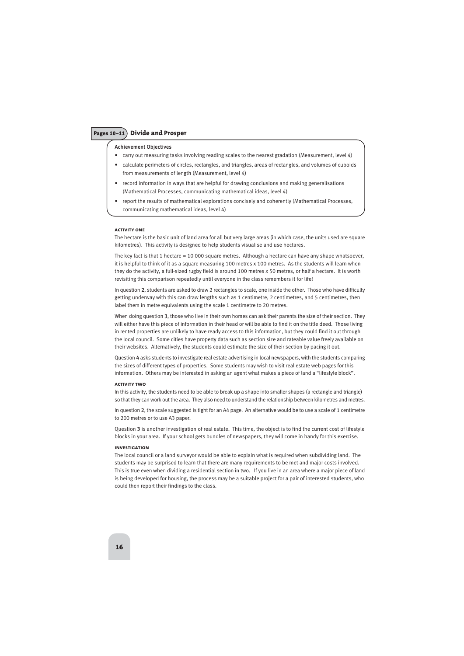## Pages 10–11 **Divide and Prosper**

## Achievement Objectives

- carry out measuring tasks involving reading scales to the nearest gradation (Measurement, level 4)
- calculate perimeters of circles, rectangles, and triangles, areas of rectangles, and volumes of cuboids from measurements of length (Measurement, level 4)
- record information in ways that are helpful for drawing conclusions and making generalisations (Mathematical Processes, communicating mathematical ideas, level 4)
- report the results of mathematical explorations concisely and coherently (Mathematical Processes, communicating mathematical ideas, level 4)

#### **activity one**

The hectare is the basic unit of land area for all but very large areas (in which case, the units used are square kilometres). This activity is designed to help students visualise and use hectares.

The key fact is that 1 hectare = 10 000 square metres. Although a hectare can have any shape whatsoever, it is helpful to think of it as a square measuring 100 metres x 100 metres. As the students will learn when they do the activity, a full-sized rugby field is around 100 metres x 50 metres, or half a hectare. It is worth revisiting this comparison repeatedly until everyone in the class remembers it for life!

In question 2, students are asked to draw 2 rectangles to scale, one inside the other. Those who have difficulty getting underway with this can draw lengths such as 1 centimetre, 2 centimetres, and 5 centimetres, then label them in metre equivalents using the scale 1 centimetre to 20 metres.

When doing question 3, those who live in their own homes can ask their parents the size of their section. They will either have this piece of information in their head or will be able to find it on the title deed. Those living in rented properties are unlikely to have ready access to this information, but they could find it out through the local council. Some cities have property data such as section size and rateable value freely available on their websites. Alternatively, the students could estimate the size of their section by pacing it out.

Question 4 asks students to investigate real estate advertising in local newspapers, with the students comparing the sizes of different types of properties. Some students may wish to visit real estate web pages for this information. Others may be interested in asking an agent what makes a piece of land a "lifestyle block".

#### **activity two**

In this activity, the students need to be able to break up a shape into smaller shapes (a rectangle and triangle) so that they can work out the area. They also need to understand the relationship between kilometres and metres.

In question 2, the scale suggested is tight for an A4 page. An alternative would be to use a scale of 1 centimetre to 200 metres or to use A3 paper.

Question 3 is another investigation of real estate. This time, the object is to find the current cost of lifestyle blocks in your area. If your school gets bundles of newspapers, they will come in handy for this exercise.

## **investigation**

The local council or a land surveyor would be able to explain what is required when subdividing land. The students may be surprised to learn that there are many requirements to be met and major costs involved. This is true even when dividing a residential section in two. If you live in an area where a major piece of land is being developed for housing, the process may be a suitable project for a pair of interested students, who could then report their findings to the class.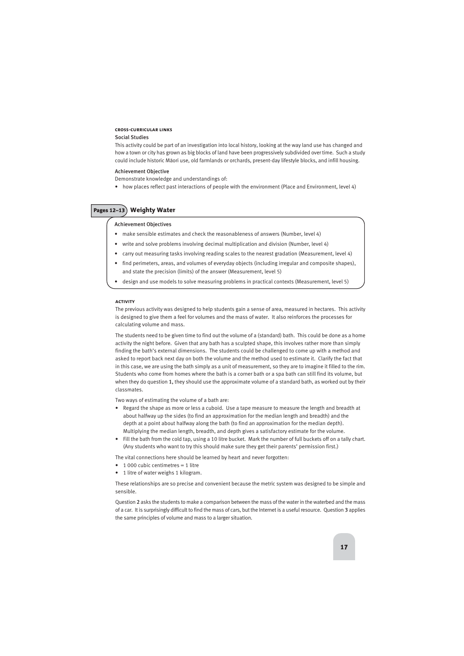## **cross-curricular links**

## Social Studies

This activity could be part of an investigation into local history, looking at the way land use has changed and how a town or city has grown as big blocks of land have been progressively subdivided over time. Such a study could include historic Màori use, old farmlands or orchards, present-day lifestyle blocks, and infill housing.

## Achievement Objective

Demonstrate knowledge and understandings of:

• how places reflect past interactions of people with the environment (Place and Environment, level 4)

## Pages 12–13 **Weighty Water**

## Achievement Objectives

- make sensible estimates and check the reasonableness of answers (Number, level 4)
- write and solve problems involving decimal multiplication and division (Number, level 4)
- carry out measuring tasks involving reading scales to the nearest gradation (Measurement, level 4)
- find perimeters, areas, and volumes of everyday objects (including irregular and composite shapes), and state the precision (limits) of the answer (Measurement, level 5)
- design and use models to solve measuring problems in practical contexts (Measurement, level 5)

## **activity**

The previous activity was designed to help students gain a sense of area, measured in hectares. This activity is designed to give them a feel for volumes and the mass of water. It also reinforces the processes for calculating volume and mass.

The students need to be given time to find out the volume of a (standard) bath. This could be done as a home activity the night before. Given that any bath has a sculpted shape, this involves rather more than simply finding the bath's external dimensions. The students could be challenged to come up with a method and asked to report back next day on both the volume and the method used to estimate it. Clarify the fact that in this case, we are using the bath simply as a unit of measurement, so they are to imagine it filled to the rim. Students who come from homes where the bath is a corner bath or a spa bath can still find its volume, but when they do question 1, they should use the approximate volume of a standard bath, as worked out by their classmates.

Two ways of estimating the volume of a bath are:

- Regard the shape as more or less a cuboid. Use a tape measure to measure the length and breadth at about halfway up the sides (to find an approximation for the median length and breadth) and the depth at a point about halfway along the bath (to find an approximation for the median depth). Multiplying the median length, breadth, and depth gives a satisfactory estimate for the volume.
- Fill the bath from the cold tap, using a 10 litre bucket. Mark the number of full buckets off on a tally chart. (Any students who want to try this should make sure they get their parents' permission first.)

The vital connections here should be learned by heart and never forgotten:

- 1 000 cubic centimetres  $= 1$  litre
- 1 litre of water weighs 1 kilogram.

These relationships are so precise and convenient because the metric system was designed to be simple and sensible.

Question 2 asks the students to make a comparison between the mass of the water in the waterbed and the mass of a car. It is surprisingly difficult to find the mass of cars, but the Internet is a useful resource. Question 3 applies the same principles of volume and mass to a larger situation.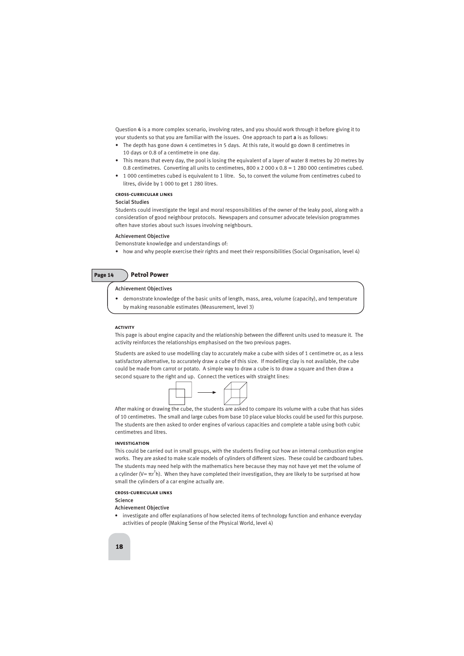Question 4 is a more complex scenario, involving rates, and you should work through it before giving it to your students so that you are familiar with the issues. One approach to part a is as follows:

- The depth has gone down 4 centimetres in 5 days. At this rate, it would go down 8 centimetres in 10 days or 0.8 of a centimetre in one day.
- This means that every day, the pool is losing the equivalent of a layer of water 8 metres by 20 metres by 0.8 centimetres. Converting all units to centimetres,  $800 \times 2000 \times 0.8 = 1280000$  centimetres cubed.
- 1 000 centimetres cubed is equivalent to 1 litre. So, to convert the volume from centimetres cubed to litres, divide by 1 000 to get 1 280 litres.

## **cross-curricular links**

## Social Studies

Students could investigate the legal and moral responsibilities of the owner of the leaky pool, along with a consideration of good neighbour protocols. Newspapers and consumer advocate television programmes often have stories about such issues involving neighbours.

## Achievement Objective

Demonstrate knowledge and understandings of:

• how and why people exercise their rights and meet their responsibilities (Social Organisation, level 4)

| 'a<br>o<br>o i | ۹<br>л |
|----------------|--------|
| ÷<br>÷         |        |

## **Petrol Power**

## Achievement Objectives

• demonstrate knowledge of the basic units of length, mass, area, volume (capacity), and temperature by making reasonable estimates (Measurement, level 3)

## **activity**

This page is about engine capacity and the relationship between the different units used to measure it. The activity reinforces the relationships emphasised on the two previous pages.

Students are asked to use modelling clay to accurately make a cube with sides of 1 centimetre or, as a less satisfactory alternative, to accurately draw a cube of this size. If modelling clay is not available, the cube could be made from carrot or potato. A simple way to draw a cube is to draw a square and then draw a second square to the right and up. Connect the vertices with straight lines:



After making or drawing the cube, the students are asked to compare its volume with a cube that has sides of 10 centimetres. The small and large cubes from base 10 place value blocks could be used for this purpose. The students are then asked to order engines of various capacities and complete a table using both cubic centimetres and litres.

## **investigation**

This could be carried out in small groups, with the students finding out how an internal combustion engine works. They are asked to make scale models of cylinders of different sizes. These could be cardboard tubes. The students may need help with the mathematics here because they may not have yet met the volume of a cylinder (V=  $\pi$ r<sup>2</sup>h). When they have completed their investigation, they are likely to be surprised at how small the cylinders of a car engine actually are.

## **cross-curricular links**

## Science

## Achievement Objective

• investigate and offer explanations of how selected items of technology function and enhance everyday activities of people (Making Sense of the Physical World, level 4)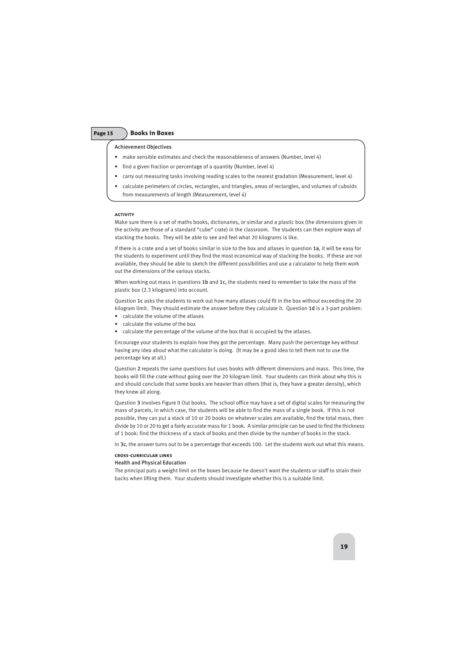## Page 15 **Books in Boxes**

Achievement Objectives

- make sensible estimates and check the reasonableness of answers (Number, level 4)
- find a given fraction or percentage of a quantity (Number, level 4)
- carry out measuring tasks involving reading scales to the nearest gradation (Measurement, level 4)
- calculate perimeters of circles, rectangles, and triangles, areas of rectangles, and volumes of cuboids from measurements of length (Measurement, level 4)

## **activity**

Make sure there is a set of maths books, dictionaries, or similar and a plastic box (the dimensions given in the activity are those of a standard "cube" crate) in the classroom. The students can then explore ways of stacking the books. They will be able to see and feel what 20 kilograms is like.

If there is a crate and a set of books similar in size to the box and atlases in question 1a, it will be easy for the students to experiment until they find the most economical way of stacking the books. If these are not available, they should be able to sketch the different possibilities and use a calculator to help them work out the dimensions of the various stacks.

When working out mass in questions 1b and 1c, the students need to remember to take the mass of the plastic box (2.3 kilograms) into account.

Question 1c asks the students to work out how many atlases could fit in the box without exceeding the 20 kilogram limit. They should estimate the answer before they calculate it. Question 1d is a 3-part problem:

- calculate the volume of the atlases
- calculate the volume of the box
- calculate the percentage of the volume of the box that is occupied by the atlases.

Encourage your students to explain how they got the percentage. Many push the percentage key without having any idea about what the calculator is doing. (It may be a good idea to tell them not to use the percentage key at all.)

Question 2 repeats the same questions but uses books with different dimensions and mass. This time, the books will fill the crate without going over the 20 kilogram limit. Your students can think about why this is and should conclude that some books are heavier than others (that is, they have a greater density), which they knew all along.

Question 3 involves Figure It Out books. The school office may have a set of digital scales for measuring the mass of parcels, in which case, the students will be able to find the mass of a single book. If this is not possible, they can put a stack of 10 or 20 books on whatever scales are available, find the total mass, then divide by 10 or 20 to get a fairly accurate mass for 1 book. A similar principle can be used to find the thickness of 1 book: find the thickness of a stack of books and then divide by the number of books in the stack.

In 3c, the answer turns out to be a percentage that exceeds 100. Let the students work out what this means.

## **cross-curricular links**

## Health and Physical Education

The principal puts a weight limit on the boxes because he doesn't want the students or staff to strain their backs when lifting them. Your students should investigate whether this is a suitable limit.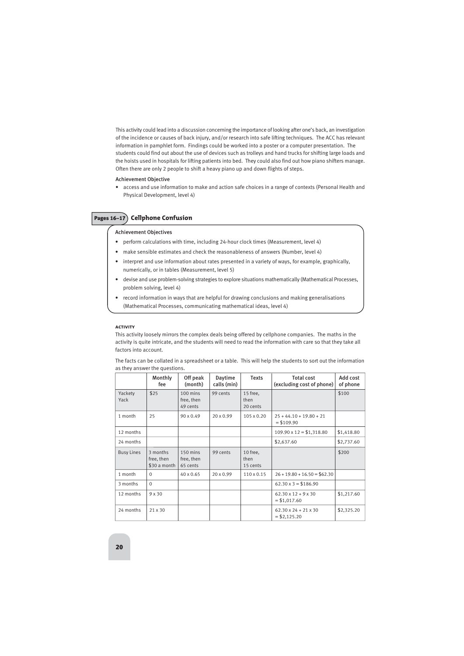This activity could lead into a discussion concerning the importance of looking after one's back, an investigation of the incidence or causes of back injury, and/or research into safe lifting techniques. The ACC has relevant information in pamphlet form. Findings could be worked into a poster or a computer presentation. The students could find out about the use of devices such as trolleys and hand trucks for shifting large loads and the hoists used in hospitals for lifting patients into bed. They could also find out how piano shifters manage. Often there are only 2 people to shift a heavy piano up and down flights of steps.

## Achievement Objective

• access and use information to make and action safe choices in a range of contexts (Personal Health and Physical Development, level 4)

## Pages 16–17 **Cellphone Confusion**

## Achievement Objectives

- perform calculations with time, including 24-hour clock times (Measurement, level 4)
- make sensible estimates and check the reasonableness of answers (Number, level 4)
- interpret and use information about rates presented in a variety of ways, for example, graphically, numerically, or in tables (Measurement, level 5)
- devise and use problem-solving strategies to explore situations mathematically (Mathematical Processes, problem solving, level 4)
- record information in ways that are helpful for drawing conclusions and making generalisations (Mathematical Processes, communicating mathematical ideas, level 4)

## **activity**

This activity loosely mirrors the complex deals being offered by cellphone companies. The maths in the activity is quite intricate, and the students will need to read the information with care so that they take all factors into account.

The facts can be collated in a spreadsheet or a table. This will help the students to sort out the information as they answer the questions.

|                   | Monthly<br>fee                         | Off peak<br>(month)                | <b>Daytime</b><br>calls (min) | <b>Texts</b>                 | <b>Total cost</b><br>(excluding cost of phone)    | Add cost<br>of phone |
|-------------------|----------------------------------------|------------------------------------|-------------------------------|------------------------------|---------------------------------------------------|----------------------|
| Yackety<br>Yack   | \$25                                   | 100 mins<br>free, then<br>49 cents | 99 cents                      | 15 free,<br>then<br>20 cents |                                                   | \$100                |
| 1 month           | 25                                     | $90 \times 0.49$                   | $20 \times 0.99$              | 105 x 0.20                   | $25 + 44.10 + 19.80 + 21$<br>$=$ \$109.90         |                      |
| 12 months         |                                        |                                    |                               |                              | $109.90 \times 12 = $1,318.80$                    | \$1,418.80           |
| 24 months         |                                        |                                    |                               |                              | \$2,637.60                                        | \$2,737.60           |
| <b>Busy Lines</b> | 3 months<br>free, then<br>\$30 a month | 150 mins<br>free, then<br>65 cents | 99 cents                      | 10 free.<br>then<br>15 cents |                                                   | \$200                |
| 1 month           | $\mathbf 0$                            | $40 \times 0.65$                   | $20 \times 0.99$              | $110 \times 0.15$            | $26 + 19.80 + 16.50 = $62.30$                     |                      |
| 3 months          | $\Omega$                               |                                    |                               |                              | $62.30 \times 3 = $186.90$                        |                      |
| 12 months         | 9x30                                   |                                    |                               |                              | $62.30 \times 12 + 9 \times 30$<br>$=$ \$1,017.60 | \$1,217.60           |
| 24 months         | 21 x 30                                |                                    |                               |                              | $62.30 \times 24 + 21 \times 30$<br>$= $2,125.20$ | \$2,325.20           |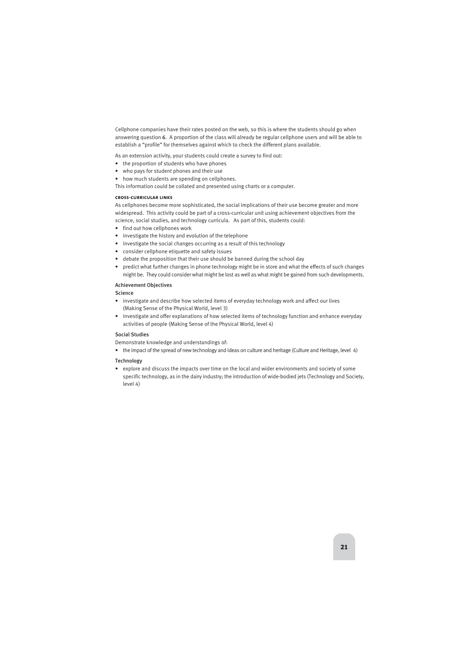Cellphone companies have their rates posted on the web, so this is where the students should go when answering question 6. A proportion of the class will already be regular cellphone users and will be able to establish a "profile" for themselves against which to check the different plans available.

As an extension activity, your students could create a survey to find out:

- the proportion of students who have phones
- who pays for student phones and their use
- how much students are spending on cellphones.

This information could be collated and presented using charts or a computer.

## **cross-curricular links**

As cellphones become more sophisticated, the social implications of their use become greater and more widespread. This activity could be part of a cross-curricular unit using achievement objectives from the science, social studies, and technology curricula. As part of this, students could:

- find out how cellphones work
- investigate the history and evolution of the telephone
- investigate the social changes occurring as a result of this technology
- consider cellphone etiquette and safety issues
- debate the proposition that their use should be banned during the school day
- predict what further changes in phone technology might be in store and what the effects of such changes might be. They could consider what might be lost as well as what might be gained from such developments.

## Achievement Objectives

**Science** 

- investigate and describe how selected items of everyday technology work and affect our lives (Making Sense of the Physical World, level 3)
- investigate and offer explanations of how selected items of technology function and enhance everyday activities of people (Making Sense of the Physical World, level 4)

## Social Studies

Demonstrate knowledge and understandings of:

• the impact of the spread of new technology and ideas on culture and heritage (Culture and Heritage, level 4)

## Technology

• explore and discuss the impacts over time on the local and wider environments and society of some specific technology, as in the dairy industry; the introduction of wide-bodied jets (Technology and Society, level 4)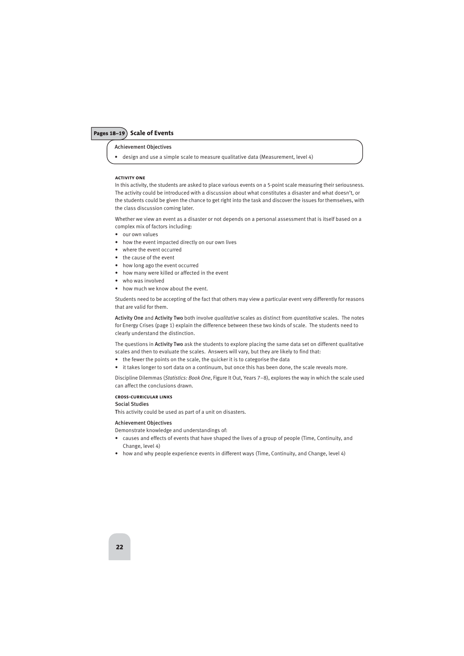## Pages 18–19 **Scale of Events**

## Achievement Objectives

• design and use a simple scale to measure qualitative data (Measurement, level 4)

## **activity one**

In this activity, the students are asked to place various events on a 5-point scale measuring their seriousness. The activity could be introduced with a discussion about what constitutes a disaster and what doesn't, or the students could be given the chance to get right into the task and discover the issues for themselves, with the class discussion coming later.

Whether we view an event as a disaster or not depends on a personal assessment that is itself based on a complex mix of factors including:

- our own values
- how the event impacted directly on our own lives
- where the event occurred
- the cause of the event
- how long ago the event occurred
- how many were killed or affected in the event
- who was involved
- how much we know about the event.

Students need to be accepting of the fact that others may view a particular event very differently for reasons that are valid for them.

Activity One and Activity Two both involve *qualitative* scales as distinct from *quantitative* scales. The notes for Energy Crises (page 1) explain the difference between these two kinds of scale. The students need to clearly understand the distinction.

The questions in **Activity Two** ask the students to explore placing the same data set on different qualitative scales and then to evaluate the scales. Answers will vary, but they are likely to find that:

- the fewer the points on the scale, the quicker it is to categorise the data
- it takes longer to sort data on a continuum, but once this has been done, the scale reveals more.

Discipline Dilemmas (*Statistics: Book One*, Figure It Out, Years 7–8), explores the way in which the scale used can affect the conclusions drawn.

## **cross-curricular links**

## Social Studies

This activity could be used as part of a unit on disasters.

## Achievement Objectives

Demonstrate knowledge and understandings of:

- causes and effects of events that have shaped the lives of a group of people (Time, Continuity, and Change, level 4)
- how and why people experience events in different ways (Time, Continuity, and Change, level 4)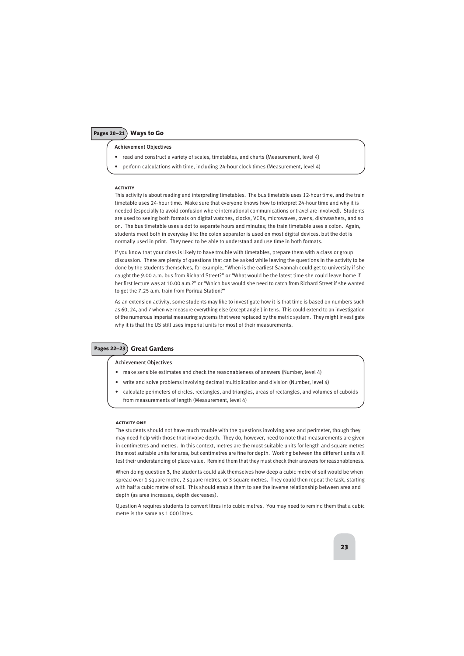Achievement Objectives

- read and construct a variety of scales, timetables, and charts (Measurement, level 4)
- perform calculations with time, including 24-hour clock times (Measurement, level 4)

## **activity**

This activity is about reading and interpreting timetables. The bus timetable uses 12-hour time, and the train timetable uses 24-hour time. Make sure that everyone knows how to interpret 24-hour time and why it is needed (especially to avoid confusion where international communications or travel are involved). Students are used to seeing both formats on digital watches, clocks, VCRs, microwaves, ovens, dishwashers, and so on. The bus timetable uses a dot to separate hours and minutes; the train timetable uses a colon. Again, students meet both in everyday life: the colon separator is used on most digital devices, but the dot is normally used in print. They need to be able to understand and use time in both formats.

If you know that your class is likely to have trouble with timetables, prepare them with a class or group discussion. There are plenty of questions that can be asked while leaving the questions in the activity to be done by the students themselves, for example, "When is the earliest Savannah could get to university if she caught the 9.00 a.m. bus from Richard Street?" or "What would be the latest time she could leave home if her first lecture was at 10.00 a.m.?" or "Which bus would she need to catch from Richard Street if she wanted to get the 7.25 a.m. train from Porirua Station?"

As an extension activity, some students may like to investigate how it is that time is based on numbers such as 60, 24, and 7 when we measure everything else (except angle!) in tens. This could extend to an investigation of the numerous imperial measuring systems that were replaced by the metric system. They might investigate why it is that the US still uses imperial units for most of their measurements.

## Pages 22–23 **Great Gardens**

## Achievement Objectives

- make sensible estimates and check the reasonableness of answers (Number, level 4)
- write and solve problems involving decimal multiplication and division (Number, level 4)
- calculate perimeters of circles, rectangles, and triangles, areas of rectangles, and volumes of cuboids from measurements of length (Measurement, level 4)

## **activity one**

The students should not have much trouble with the questions involving area and perimeter, though they may need help with those that involve depth. They do, however, need to note that measurements are given in centimetres and metres. In this context, metres are the most suitable units for length and square metres the most suitable units for area, but centimetres are fine for depth. Working between the different units will test their understanding of place value. Remind them that they must check their answers for reasonableness.

When doing question 3, the students could ask themselves how deep a cubic metre of soil would be when spread over 1 square metre, 2 square metres, or 3 square metres. They could then repeat the task, starting with half a cubic metre of soil. This should enable them to see the inverse relationship between area and depth (as area increases, depth decreases).

Question 4 requires students to convert litres into cubic metres. You may need to remind them that a cubic metre is the same as 1 000 litres.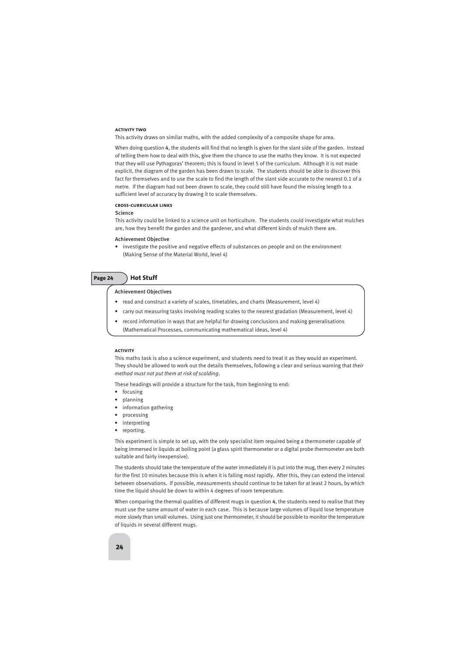## **activity two**

This activity draws on similar maths, with the added complexity of a composite shape for area.

When doing question 4, the students will find that no length is given for the slant side of the garden. Instead of telling them how to deal with this, give them the chance to use the maths they know. It is not expected that they will use Pythagoras' theorem; this is found in level 5 of the curriculum. Although it is not made explicit, the diagram of the garden has been drawn to scale. The students should be able to discover this fact for themselves and to use the scale to find the length of the slant side accurate to the nearest 0.1 of a metre. If the diagram had not been drawn to scale, they could still have found the missing length to a sufficient level of accuracy by drawing it to scale themselves.

#### **cross-curricular links**

## **Science**

This activity could be linked to a science unit on horticulture. The students could investigate what mulches are, how they benefit the garden and the gardener, and what different kinds of mulch there are.

## Achievement Objective

• investigate the positive and negative effects of substances on people and on the environment (Making Sense of the Material World, level 4)

## Page 24 **Hot Stuff**

## Achievement Objectives

- read and construct a variety of scales, timetables, and charts (Measurement, level 4)
- carry out measuring tasks involving reading scales to the nearest gradation (Measurement, level 4)
- record information in ways that are helpful for drawing conclusions and making generalisations (Mathematical Processes, communicating mathematical ideas, level 4)

## **activity**

This maths task is also a science experiment, and students need to treat it as they would an experiment. They should be allowed to work out the details themselves, following a clear and serious warning that *their method must not put them at risk of scalding*.

These headings will provide a structure for the task, from beginning to end:

- focusing
- planning
- information gathering
- processing
- interpreting
- reporting.

This experiment is simple to set up, with the only specialist item required being a thermometer capable of being immersed in liquids at boiling point (a glass spirit thermometer or a digital probe thermometer are both suitable and fairly inexpensive).

The students should take the temperature of the water immediately it is put into the mug, then every 2 minutes for the first 10 minutes because this is when it is falling most rapidly. After this, they can extend the interval between observations. If possible, measurements should continue to be taken for at least 2 hours, by which time the liquid should be down to within 4 degrees of room temperature.

When comparing the thermal qualities of different mugs in question 4, the students need to realise that they must use the same amount of water in each case. This is because large volumes of liquid lose temperature more slowly than small volumes. Using just one thermometer, it should be possible to monitor the temperature of liquids in several different mugs.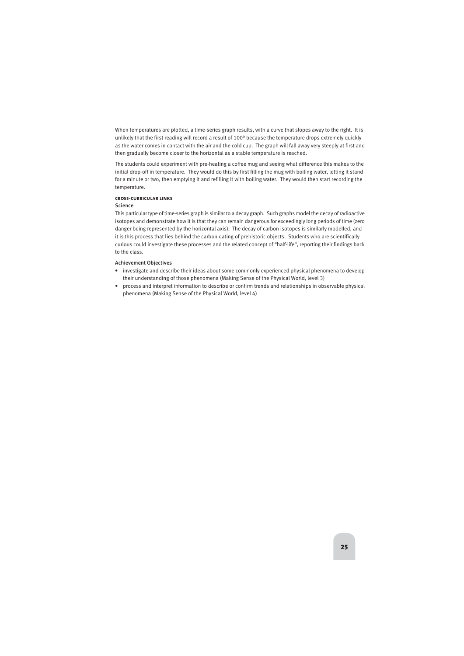When temperatures are plotted, a time-series graph results, with a curve that slopes away to the right. It is unlikely that the first reading will record a result of 100° because the temperature drops extremely quickly as the water comes in contact with the air and the cold cup. The graph will fall away very steeply at first and then gradually become closer to the horizontal as a stable temperature is reached.

The students could experiment with pre-heating a coffee mug and seeing what difference this makes to the initial drop-off in temperature. They would do this by first filling the mug with boiling water, letting it stand for a minute or two, then emptying it and refilling it with boiling water. They would then start recording the temperature.

## **cross-curricular links**

## **Science**

This particular type of time-series graph is similar to a decay graph. Such graphs model the decay of radioactive isotopes and demonstrate how it is that they can remain dangerous for exceedingly long periods of time (zero danger being represented by the horizontal axis). The decay of carbon isotopes is similarly modelled, and it is this process that lies behind the carbon dating of prehistoric objects. Students who are scientifically curious could investigate these processes and the related concept of "half-life", reporting their findings back to the class.

## Achievement Objectives

- investigate and describe their ideas about some commonly experienced physical phenomena to develop their understanding of those phenomena (Making Sense of the Physical World, level 3)
- process and interpret information to describe or confirm trends and relationships in observable physical phenomena (Making Sense of the Physical World, level 4)